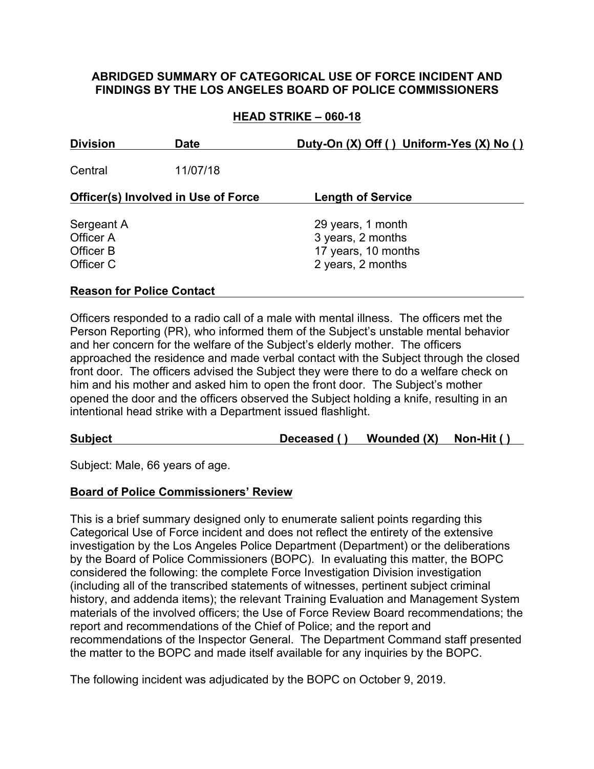### **ABRIDGED SUMMARY OF CATEGORICAL USE OF FORCE INCIDENT AND FINDINGS BY THE LOS ANGELES BOARD OF POLICE COMMISSIONERS**

## **HEAD STRIKE – 060-18**

| <b>Division</b>                                   | <b>Date</b> | Duty-On (X) Off () Uniform-Yes (X) No ()                                           |
|---------------------------------------------------|-------------|------------------------------------------------------------------------------------|
| Central                                           | 11/07/18    |                                                                                    |
| <b>Officer(s) Involved in Use of Force</b>        |             | <b>Length of Service</b>                                                           |
| Sergeant A<br>Officer A<br>Officer B<br>Officer C |             | 29 years, 1 month<br>3 years, 2 months<br>17 years, 10 months<br>2 years, 2 months |

## **Reason for Police Contact**

Officers responded to a radio call of a male with mental illness. The officers met the Person Reporting (PR), who informed them of the Subject's unstable mental behavior and her concern for the welfare of the Subject's elderly mother. The officers approached the residence and made verbal contact with the Subject through the closed front door. The officers advised the Subject they were there to do a welfare check on him and his mother and asked him to open the front door. The Subject's mother opened the door and the officers observed the Subject holding a knife, resulting in an intentional head strike with a Department issued flashlight.

**Subject Deceased ( ) Wounded (X) Non-Hit ( )**

Subject: Male, 66 years of age.

### **Board of Police Commissioners' Review**

This is a brief summary designed only to enumerate salient points regarding this Categorical Use of Force incident and does not reflect the entirety of the extensive investigation by the Los Angeles Police Department (Department) or the deliberations by the Board of Police Commissioners (BOPC). In evaluating this matter, the BOPC considered the following: the complete Force Investigation Division investigation (including all of the transcribed statements of witnesses, pertinent subject criminal history, and addenda items); the relevant Training Evaluation and Management System materials of the involved officers; the Use of Force Review Board recommendations; the report and recommendations of the Chief of Police; and the report and recommendations of the Inspector General. The Department Command staff presented the matter to the BOPC and made itself available for any inquiries by the BOPC.

The following incident was adjudicated by the BOPC on October 9, 2019.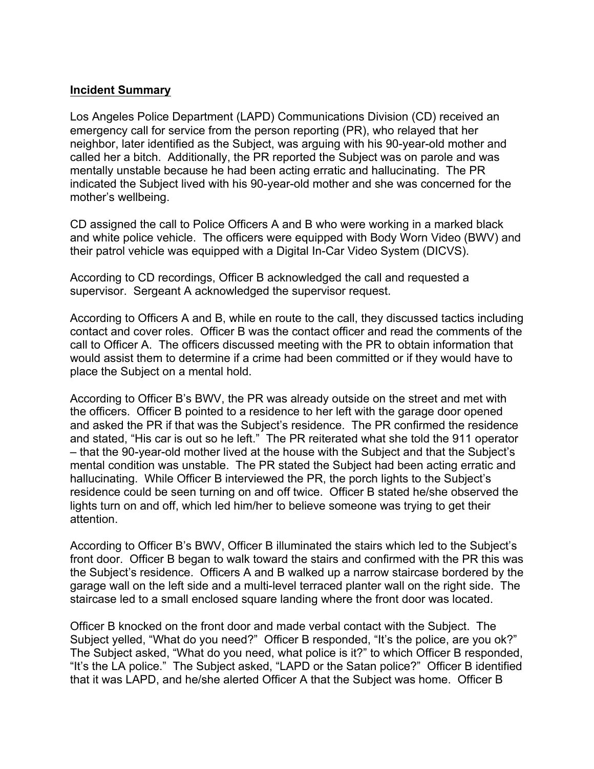#### **Incident Summary**

Los Angeles Police Department (LAPD) Communications Division (CD) received an emergency call for service from the person reporting (PR), who relayed that her neighbor, later identified as the Subject, was arguing with his 90-year-old mother and called her a bitch. Additionally, the PR reported the Subject was on parole and was mentally unstable because he had been acting erratic and hallucinating. The PR indicated the Subject lived with his 90-year-old mother and she was concerned for the mother's wellbeing.

CD assigned the call to Police Officers A and B who were working in a marked black and white police vehicle. The officers were equipped with Body Worn Video (BWV) and their patrol vehicle was equipped with a Digital In-Car Video System (DICVS).

According to CD recordings, Officer B acknowledged the call and requested a supervisor. Sergeant A acknowledged the supervisor request.

According to Officers A and B, while en route to the call, they discussed tactics including contact and cover roles. Officer B was the contact officer and read the comments of the call to Officer A. The officers discussed meeting with the PR to obtain information that would assist them to determine if a crime had been committed or if they would have to place the Subject on a mental hold.

According to Officer B's BWV, the PR was already outside on the street and met with the officers. Officer B pointed to a residence to her left with the garage door opened and asked the PR if that was the Subject's residence. The PR confirmed the residence and stated, "His car is out so he left." The PR reiterated what she told the 911 operator – that the 90-year-old mother lived at the house with the Subject and that the Subject's mental condition was unstable. The PR stated the Subject had been acting erratic and hallucinating. While Officer B interviewed the PR, the porch lights to the Subject's residence could be seen turning on and off twice. Officer B stated he/she observed the lights turn on and off, which led him/her to believe someone was trying to get their attention.

According to Officer B's BWV, Officer B illuminated the stairs which led to the Subject's front door. Officer B began to walk toward the stairs and confirmed with the PR this was the Subject's residence. Officers A and B walked up a narrow staircase bordered by the garage wall on the left side and a multi-level terraced planter wall on the right side. The staircase led to a small enclosed square landing where the front door was located.

Officer B knocked on the front door and made verbal contact with the Subject. The Subject yelled, "What do you need?" Officer B responded, "It's the police, are you ok?" The Subject asked, "What do you need, what police is it?" to which Officer B responded, "It's the LA police." The Subject asked, "LAPD or the Satan police?" Officer B identified that it was LAPD, and he/she alerted Officer A that the Subject was home. Officer B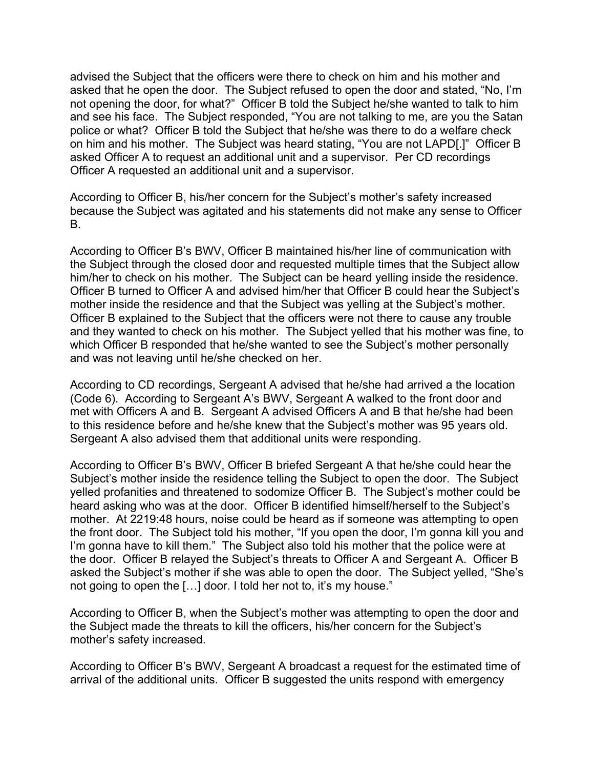advised the Subject that the officers were there to check on him and his mother and asked that he open the door. The Subject refused to open the door and stated, "No, I'm not opening the door, for what?" Officer B told the Subject he/she wanted to talk to him and see his face. The Subject responded, "You are not talking to me, are you the Satan police or what? Officer B told the Subject that he/she was there to do a welfare check on him and his mother. The Subject was heard stating, "You are not LAPD[.]" Officer B asked Officer A to request an additional unit and a supervisor. Per CD recordings Officer A requested an additional unit and a supervisor.

According to Officer B, his/her concern for the Subject's mother's safety increased because the Subject was agitated and his statements did not make any sense to Officer B.

According to Officer B's BWV, Officer B maintained his/her line of communication with the Subject through the closed door and requested multiple times that the Subject allow him/her to check on his mother. The Subject can be heard yelling inside the residence. Officer B turned to Officer A and advised him/her that Officer B could hear the Subject's mother inside the residence and that the Subject was yelling at the Subject's mother. Officer B explained to the Subject that the officers were not there to cause any trouble and they wanted to check on his mother. The Subject yelled that his mother was fine, to which Officer B responded that he/she wanted to see the Subject's mother personally and was not leaving until he/she checked on her.

According to CD recordings, Sergeant A advised that he/she had arrived a the location (Code 6). According to Sergeant A's BWV, Sergeant A walked to the front door and met with Officers A and B. Sergeant A advised Officers A and B that he/she had been to this residence before and he/she knew that the Subject's mother was 95 years old. Sergeant A also advised them that additional units were responding.

According to Officer B's BWV, Officer B briefed Sergeant A that he/she could hear the Subject's mother inside the residence telling the Subject to open the door. The Subject yelled profanities and threatened to sodomize Officer B. The Subject's mother could be heard asking who was at the door. Officer B identified himself/herself to the Subject's mother. At 2219:48 hours, noise could be heard as if someone was attempting to open the front door. The Subject told his mother, "If you open the door, I'm gonna kill you and I'm gonna have to kill them." The Subject also told his mother that the police were at the door. Officer B relayed the Subject's threats to Officer A and Sergeant A. Officer B asked the Subject's mother if she was able to open the door. The Subject yelled, "She's not going to open the […] door. I told her not to, it's my house."

According to Officer B, when the Subject's mother was attempting to open the door and the Subject made the threats to kill the officers, his/her concern for the Subject's mother's safety increased.

According to Officer B's BWV, Sergeant A broadcast a request for the estimated time of arrival of the additional units. Officer B suggested the units respond with emergency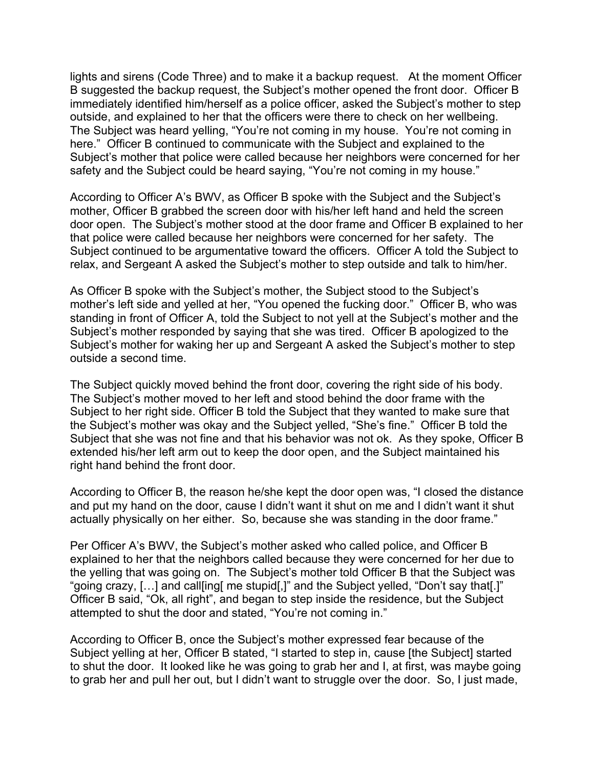lights and sirens (Code Three) and to make it a backup request. At the moment Officer B suggested the backup request, the Subject's mother opened the front door. Officer B immediately identified him/herself as a police officer, asked the Subject's mother to step outside, and explained to her that the officers were there to check on her wellbeing. The Subject was heard yelling, "You're not coming in my house. You're not coming in here." Officer B continued to communicate with the Subject and explained to the Subject's mother that police were called because her neighbors were concerned for her safety and the Subject could be heard saying, "You're not coming in my house."

According to Officer A's BWV, as Officer B spoke with the Subject and the Subject's mother, Officer B grabbed the screen door with his/her left hand and held the screen door open. The Subject's mother stood at the door frame and Officer B explained to her that police were called because her neighbors were concerned for her safety. The Subject continued to be argumentative toward the officers. Officer A told the Subject to relax, and Sergeant A asked the Subject's mother to step outside and talk to him/her.

As Officer B spoke with the Subject's mother, the Subject stood to the Subject's mother's left side and yelled at her, "You opened the fucking door." Officer B, who was standing in front of Officer A, told the Subject to not yell at the Subject's mother and the Subject's mother responded by saying that she was tired. Officer B apologized to the Subject's mother for waking her up and Sergeant A asked the Subject's mother to step outside a second time.

The Subject quickly moved behind the front door, covering the right side of his body. The Subject's mother moved to her left and stood behind the door frame with the Subject to her right side. Officer B told the Subject that they wanted to make sure that the Subject's mother was okay and the Subject yelled, "She's fine." Officer B told the Subject that she was not fine and that his behavior was not ok. As they spoke, Officer B extended his/her left arm out to keep the door open, and the Subject maintained his right hand behind the front door.

According to Officer B, the reason he/she kept the door open was, "I closed the distance and put my hand on the door, cause I didn't want it shut on me and I didn't want it shut actually physically on her either. So, because she was standing in the door frame."

Per Officer A's BWV, the Subject's mother asked who called police, and Officer B explained to her that the neighbors called because they were concerned for her due to the yelling that was going on. The Subject's mother told Officer B that the Subject was "going crazy, […] and call[ing[ me stupid[,]" and the Subject yelled, "Don't say that[.]" Officer B said, "Ok, all right", and began to step inside the residence, but the Subject attempted to shut the door and stated, "You're not coming in."

According to Officer B, once the Subject's mother expressed fear because of the Subject yelling at her, Officer B stated, "I started to step in, cause [the Subject] started to shut the door. It looked like he was going to grab her and I, at first, was maybe going to grab her and pull her out, but I didn't want to struggle over the door. So, I just made,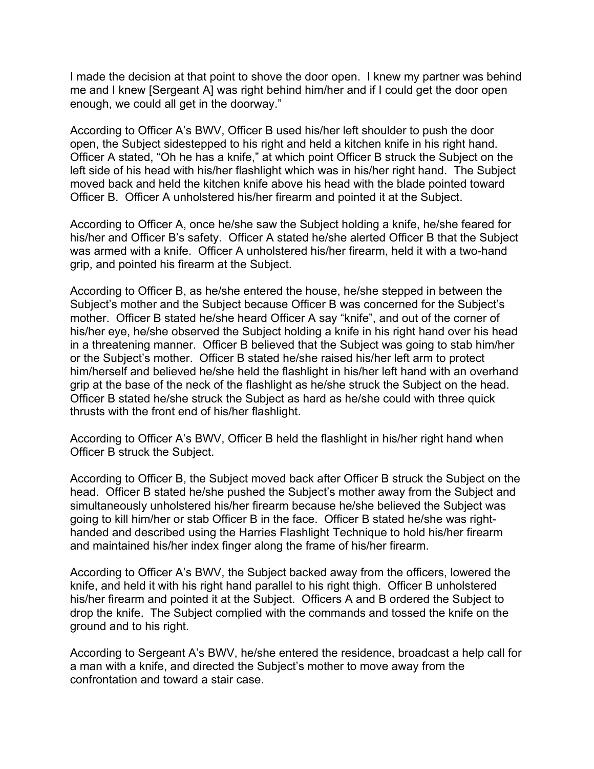I made the decision at that point to shove the door open. I knew my partner was behind me and I knew [Sergeant A] was right behind him/her and if I could get the door open enough, we could all get in the doorway."

According to Officer A's BWV, Officer B used his/her left shoulder to push the door open, the Subject sidestepped to his right and held a kitchen knife in his right hand. Officer A stated, "Oh he has a knife," at which point Officer B struck the Subject on the left side of his head with his/her flashlight which was in his/her right hand. The Subject moved back and held the kitchen knife above his head with the blade pointed toward Officer B. Officer A unholstered his/her firearm and pointed it at the Subject.

According to Officer A, once he/she saw the Subject holding a knife, he/she feared for his/her and Officer B's safety. Officer A stated he/she alerted Officer B that the Subject was armed with a knife. Officer A unholstered his/her firearm, held it with a two-hand grip, and pointed his firearm at the Subject.

According to Officer B, as he/she entered the house, he/she stepped in between the Subject's mother and the Subject because Officer B was concerned for the Subject's mother. Officer B stated he/she heard Officer A say "knife", and out of the corner of his/her eye, he/she observed the Subject holding a knife in his right hand over his head in a threatening manner. Officer B believed that the Subject was going to stab him/her or the Subject's mother. Officer B stated he/she raised his/her left arm to protect him/herself and believed he/she held the flashlight in his/her left hand with an overhand grip at the base of the neck of the flashlight as he/she struck the Subject on the head. Officer B stated he/she struck the Subject as hard as he/she could with three quick thrusts with the front end of his/her flashlight.

According to Officer A's BWV, Officer B held the flashlight in his/her right hand when Officer B struck the Subject.

According to Officer B, the Subject moved back after Officer B struck the Subject on the head. Officer B stated he/she pushed the Subject's mother away from the Subject and simultaneously unholstered his/her firearm because he/she believed the Subject was going to kill him/her or stab Officer B in the face. Officer B stated he/she was righthanded and described using the Harries Flashlight Technique to hold his/her firearm and maintained his/her index finger along the frame of his/her firearm.

According to Officer A's BWV, the Subject backed away from the officers, lowered the knife, and held it with his right hand parallel to his right thigh. Officer B unholstered his/her firearm and pointed it at the Subject. Officers A and B ordered the Subject to drop the knife. The Subject complied with the commands and tossed the knife on the ground and to his right.

According to Sergeant A's BWV, he/she entered the residence, broadcast a help call for a man with a knife, and directed the Subject's mother to move away from the confrontation and toward a stair case.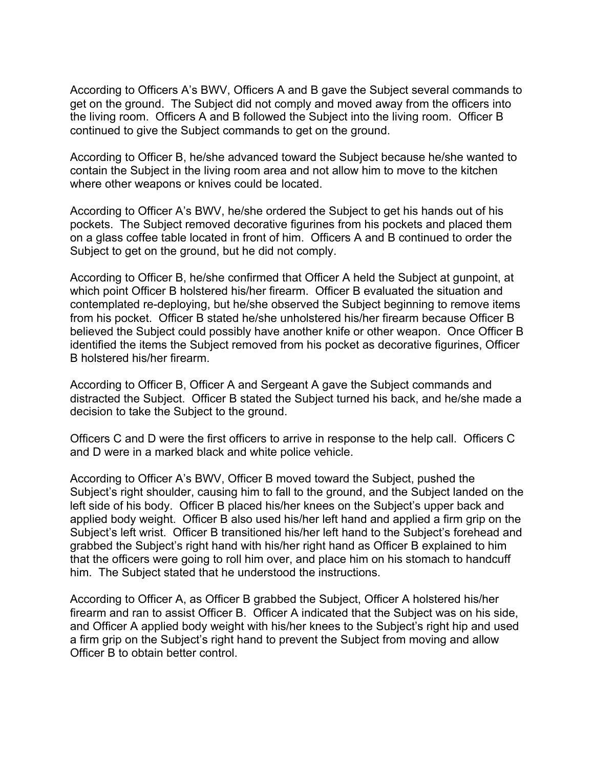According to Officers A's BWV, Officers A and B gave the Subject several commands to get on the ground. The Subject did not comply and moved away from the officers into the living room. Officers A and B followed the Subject into the living room. Officer B continued to give the Subject commands to get on the ground.

According to Officer B, he/she advanced toward the Subject because he/she wanted to contain the Subject in the living room area and not allow him to move to the kitchen where other weapons or knives could be located.

According to Officer A's BWV, he/she ordered the Subject to get his hands out of his pockets. The Subject removed decorative figurines from his pockets and placed them on a glass coffee table located in front of him. Officers A and B continued to order the Subject to get on the ground, but he did not comply.

According to Officer B, he/she confirmed that Officer A held the Subject at gunpoint, at which point Officer B holstered his/her firearm. Officer B evaluated the situation and contemplated re-deploying, but he/she observed the Subject beginning to remove items from his pocket. Officer B stated he/she unholstered his/her firearm because Officer B believed the Subject could possibly have another knife or other weapon. Once Officer B identified the items the Subject removed from his pocket as decorative figurines, Officer B holstered his/her firearm.

According to Officer B, Officer A and Sergeant A gave the Subject commands and distracted the Subject. Officer B stated the Subject turned his back, and he/she made a decision to take the Subject to the ground.

Officers C and D were the first officers to arrive in response to the help call. Officers C and D were in a marked black and white police vehicle.

According to Officer A's BWV, Officer B moved toward the Subject, pushed the Subject's right shoulder, causing him to fall to the ground, and the Subject landed on the left side of his body. Officer B placed his/her knees on the Subject's upper back and applied body weight. Officer B also used his/her left hand and applied a firm grip on the Subject's left wrist. Officer B transitioned his/her left hand to the Subject's forehead and grabbed the Subject's right hand with his/her right hand as Officer B explained to him that the officers were going to roll him over, and place him on his stomach to handcuff him. The Subject stated that he understood the instructions.

According to Officer A, as Officer B grabbed the Subject, Officer A holstered his/her firearm and ran to assist Officer B. Officer A indicated that the Subject was on his side, and Officer A applied body weight with his/her knees to the Subject's right hip and used a firm grip on the Subject's right hand to prevent the Subject from moving and allow Officer B to obtain better control.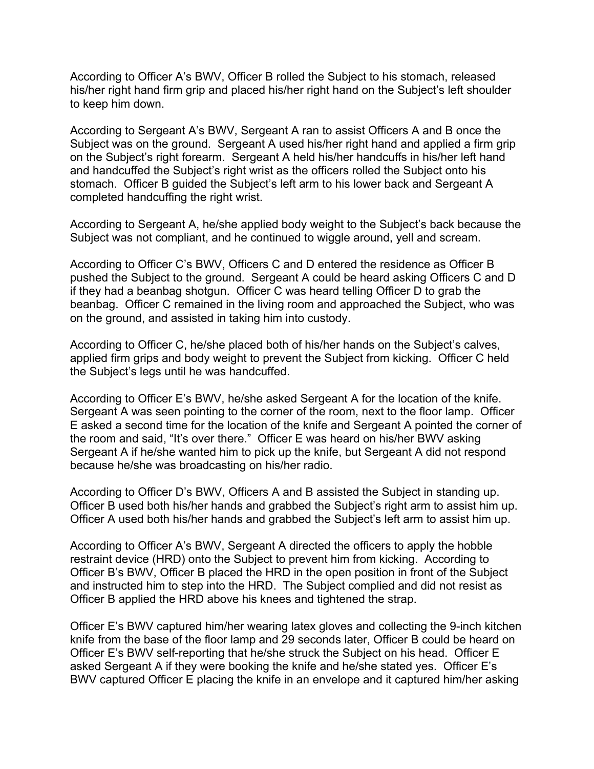According to Officer A's BWV, Officer B rolled the Subject to his stomach, released his/her right hand firm grip and placed his/her right hand on the Subject's left shoulder to keep him down.

According to Sergeant A's BWV, Sergeant A ran to assist Officers A and B once the Subject was on the ground. Sergeant A used his/her right hand and applied a firm grip on the Subject's right forearm. Sergeant A held his/her handcuffs in his/her left hand and handcuffed the Subject's right wrist as the officers rolled the Subject onto his stomach. Officer B guided the Subject's left arm to his lower back and Sergeant A completed handcuffing the right wrist.

According to Sergeant A, he/she applied body weight to the Subject's back because the Subject was not compliant, and he continued to wiggle around, yell and scream.

According to Officer C's BWV, Officers C and D entered the residence as Officer B pushed the Subject to the ground. Sergeant A could be heard asking Officers C and D if they had a beanbag shotgun. Officer C was heard telling Officer D to grab the beanbag. Officer C remained in the living room and approached the Subject, who was on the ground, and assisted in taking him into custody.

According to Officer C, he/she placed both of his/her hands on the Subject's calves, applied firm grips and body weight to prevent the Subject from kicking. Officer C held the Subject's legs until he was handcuffed.

According to Officer E's BWV, he/she asked Sergeant A for the location of the knife. Sergeant A was seen pointing to the corner of the room, next to the floor lamp. Officer E asked a second time for the location of the knife and Sergeant A pointed the corner of the room and said, "It's over there." Officer E was heard on his/her BWV asking Sergeant A if he/she wanted him to pick up the knife, but Sergeant A did not respond because he/she was broadcasting on his/her radio.

According to Officer D's BWV, Officers A and B assisted the Subject in standing up. Officer B used both his/her hands and grabbed the Subject's right arm to assist him up. Officer A used both his/her hands and grabbed the Subject's left arm to assist him up.

According to Officer A's BWV, Sergeant A directed the officers to apply the hobble restraint device (HRD) onto the Subject to prevent him from kicking. According to Officer B's BWV, Officer B placed the HRD in the open position in front of the Subject and instructed him to step into the HRD. The Subject complied and did not resist as Officer B applied the HRD above his knees and tightened the strap.

Officer E's BWV captured him/her wearing latex gloves and collecting the 9-inch kitchen knife from the base of the floor lamp and 29 seconds later, Officer B could be heard on Officer E's BWV self-reporting that he/she struck the Subject on his head. Officer E asked Sergeant A if they were booking the knife and he/she stated yes. Officer E's BWV captured Officer E placing the knife in an envelope and it captured him/her asking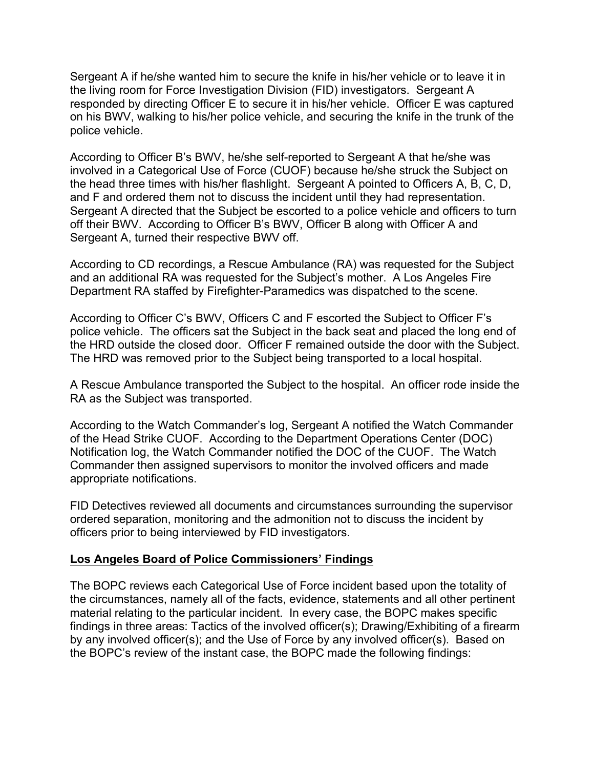Sergeant A if he/she wanted him to secure the knife in his/her vehicle or to leave it in the living room for Force Investigation Division (FID) investigators. Sergeant A responded by directing Officer E to secure it in his/her vehicle. Officer E was captured on his BWV, walking to his/her police vehicle, and securing the knife in the trunk of the police vehicle.

According to Officer B's BWV, he/she self-reported to Sergeant A that he/she was involved in a Categorical Use of Force (CUOF) because he/she struck the Subject on the head three times with his/her flashlight. Sergeant A pointed to Officers A, B, C, D, and F and ordered them not to discuss the incident until they had representation. Sergeant A directed that the Subject be escorted to a police vehicle and officers to turn off their BWV. According to Officer B's BWV, Officer B along with Officer A and Sergeant A, turned their respective BWV off.

According to CD recordings, a Rescue Ambulance (RA) was requested for the Subject and an additional RA was requested for the Subject's mother. A Los Angeles Fire Department RA staffed by Firefighter-Paramedics was dispatched to the scene.

According to Officer C's BWV, Officers C and F escorted the Subject to Officer F's police vehicle. The officers sat the Subject in the back seat and placed the long end of the HRD outside the closed door. Officer F remained outside the door with the Subject. The HRD was removed prior to the Subject being transported to a local hospital.

A Rescue Ambulance transported the Subject to the hospital. An officer rode inside the RA as the Subject was transported.

According to the Watch Commander's log, Sergeant A notified the Watch Commander of the Head Strike CUOF. According to the Department Operations Center (DOC) Notification log, the Watch Commander notified the DOC of the CUOF. The Watch Commander then assigned supervisors to monitor the involved officers and made appropriate notifications.

FID Detectives reviewed all documents and circumstances surrounding the supervisor ordered separation, monitoring and the admonition not to discuss the incident by officers prior to being interviewed by FID investigators.

### **Los Angeles Board of Police Commissioners' Findings**

The BOPC reviews each Categorical Use of Force incident based upon the totality of the circumstances, namely all of the facts, evidence, statements and all other pertinent material relating to the particular incident. In every case, the BOPC makes specific findings in three areas: Tactics of the involved officer(s); Drawing/Exhibiting of a firearm by any involved officer(s); and the Use of Force by any involved officer(s). Based on the BOPC's review of the instant case, the BOPC made the following findings: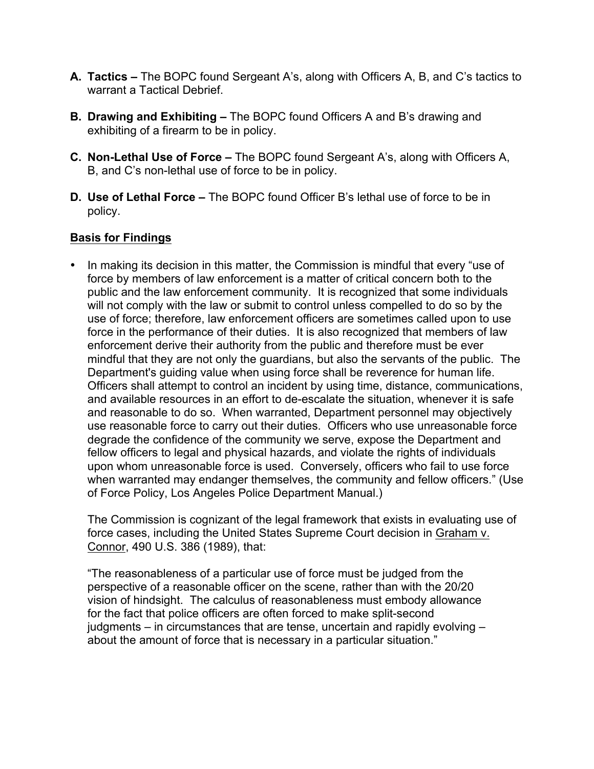- **A. Tactics –** The BOPC found Sergeant A's, along with Officers A, B, and C's tactics to warrant a Tactical Debrief.
- **B. Drawing and Exhibiting –** The BOPC found Officers A and B's drawing and exhibiting of a firearm to be in policy.
- **C. Non-Lethal Use of Force –** The BOPC found Sergeant A's, along with Officers A, B, and C's non-lethal use of force to be in policy.
- **D. Use of Lethal Force –** The BOPC found Officer B's lethal use of force to be in policy.

# **Basis for Findings**

• In making its decision in this matter, the Commission is mindful that every "use of force by members of law enforcement is a matter of critical concern both to the public and the law enforcement community. It is recognized that some individuals will not comply with the law or submit to control unless compelled to do so by the use of force; therefore, law enforcement officers are sometimes called upon to use force in the performance of their duties. It is also recognized that members of law enforcement derive their authority from the public and therefore must be ever mindful that they are not only the guardians, but also the servants of the public. The Department's guiding value when using force shall be reverence for human life. Officers shall attempt to control an incident by using time, distance, communications, and available resources in an effort to de-escalate the situation, whenever it is safe and reasonable to do so. When warranted, Department personnel may objectively use reasonable force to carry out their duties. Officers who use unreasonable force degrade the confidence of the community we serve, expose the Department and fellow officers to legal and physical hazards, and violate the rights of individuals upon whom unreasonable force is used. Conversely, officers who fail to use force when warranted may endanger themselves, the community and fellow officers." (Use of Force Policy, Los Angeles Police Department Manual.)

The Commission is cognizant of the legal framework that exists in evaluating use of force cases, including the United States Supreme Court decision in Graham v. Connor, 490 U.S. 386 (1989), that:

"The reasonableness of a particular use of force must be judged from the perspective of a reasonable officer on the scene, rather than with the 20/20 vision of hindsight. The calculus of reasonableness must embody allowance for the fact that police officers are often forced to make split-second judgments – in circumstances that are tense, uncertain and rapidly evolving – about the amount of force that is necessary in a particular situation."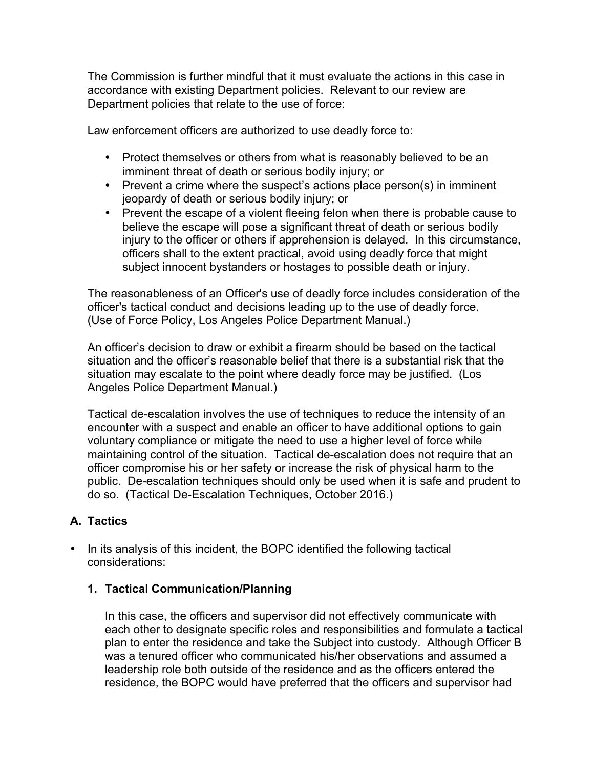The Commission is further mindful that it must evaluate the actions in this case in accordance with existing Department policies. Relevant to our review are Department policies that relate to the use of force:

Law enforcement officers are authorized to use deadly force to:

- Protect themselves or others from what is reasonably believed to be an imminent threat of death or serious bodily injury; or
- Prevent a crime where the suspect's actions place person(s) in imminent jeopardy of death or serious bodily injury; or
- Prevent the escape of a violent fleeing felon when there is probable cause to believe the escape will pose a significant threat of death or serious bodily injury to the officer or others if apprehension is delayed. In this circumstance, officers shall to the extent practical, avoid using deadly force that might subject innocent bystanders or hostages to possible death or injury.

The reasonableness of an Officer's use of deadly force includes consideration of the officer's tactical conduct and decisions leading up to the use of deadly force. (Use of Force Policy, Los Angeles Police Department Manual.)

An officer's decision to draw or exhibit a firearm should be based on the tactical situation and the officer's reasonable belief that there is a substantial risk that the situation may escalate to the point where deadly force may be justified. (Los Angeles Police Department Manual.)

Tactical de-escalation involves the use of techniques to reduce the intensity of an encounter with a suspect and enable an officer to have additional options to gain voluntary compliance or mitigate the need to use a higher level of force while maintaining control of the situation. Tactical de-escalation does not require that an officer compromise his or her safety or increase the risk of physical harm to the public. De-escalation techniques should only be used when it is safe and prudent to do so. (Tactical De-Escalation Techniques, October 2016.)

# **A. Tactics**

• In its analysis of this incident, the BOPC identified the following tactical considerations:

# **1. Tactical Communication/Planning**

In this case, the officers and supervisor did not effectively communicate with each other to designate specific roles and responsibilities and formulate a tactical plan to enter the residence and take the Subject into custody. Although Officer B was a tenured officer who communicated his/her observations and assumed a leadership role both outside of the residence and as the officers entered the residence, the BOPC would have preferred that the officers and supervisor had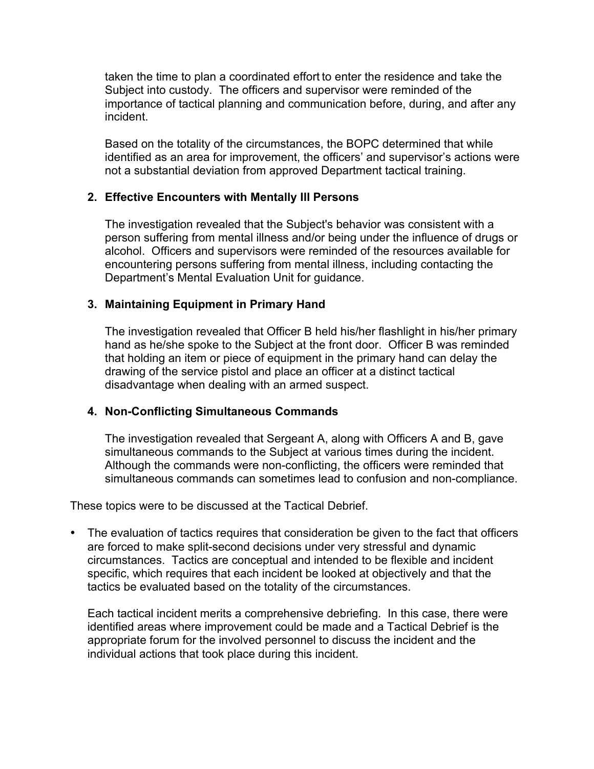taken the time to plan a coordinated effort to enter the residence and take the Subject into custody. The officers and supervisor were reminded of the importance of tactical planning and communication before, during, and after any incident.

Based on the totality of the circumstances, the BOPC determined that while identified as an area for improvement, the officers' and supervisor's actions were not a substantial deviation from approved Department tactical training.

## **2. Effective Encounters with Mentally Ill Persons**

The investigation revealed that the Subject's behavior was consistent with a person suffering from mental illness and/or being under the influence of drugs or alcohol. Officers and supervisors were reminded of the resources available for encountering persons suffering from mental illness, including contacting the Department's Mental Evaluation Unit for guidance.

### **3. Maintaining Equipment in Primary Hand**

The investigation revealed that Officer B held his/her flashlight in his/her primary hand as he/she spoke to the Subject at the front door. Officer B was reminded that holding an item or piece of equipment in the primary hand can delay the drawing of the service pistol and place an officer at a distinct tactical disadvantage when dealing with an armed suspect.

### **4. Non-Conflicting Simultaneous Commands**

The investigation revealed that Sergeant A, along with Officers A and B, gave simultaneous commands to the Subject at various times during the incident. Although the commands were non-conflicting, the officers were reminded that simultaneous commands can sometimes lead to confusion and non-compliance.

These topics were to be discussed at the Tactical Debrief.

• The evaluation of tactics requires that consideration be given to the fact that officers are forced to make split-second decisions under very stressful and dynamic circumstances. Tactics are conceptual and intended to be flexible and incident specific, which requires that each incident be looked at objectively and that the tactics be evaluated based on the totality of the circumstances.

Each tactical incident merits a comprehensive debriefing. In this case, there were identified areas where improvement could be made and a Tactical Debrief is the appropriate forum for the involved personnel to discuss the incident and the individual actions that took place during this incident.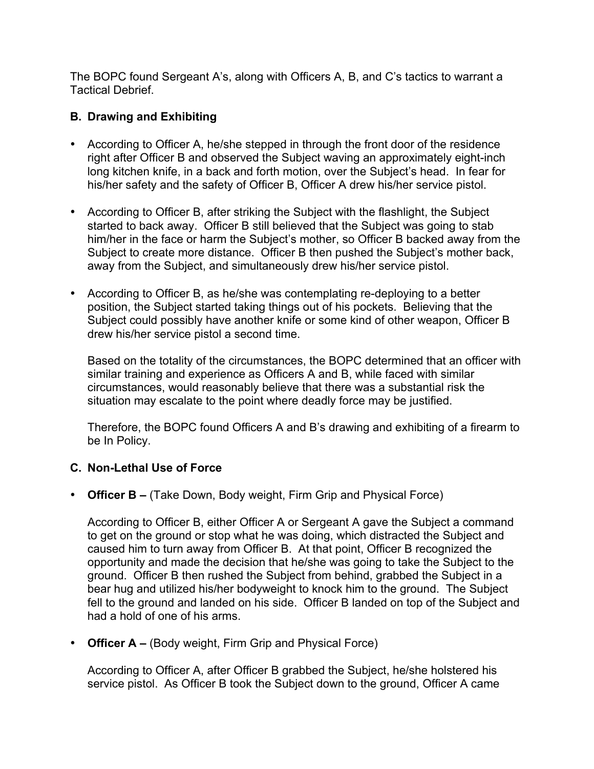The BOPC found Sergeant A's, along with Officers A, B, and C's tactics to warrant a Tactical Debrief.

# **B. Drawing and Exhibiting**

- According to Officer A, he/she stepped in through the front door of the residence right after Officer B and observed the Subject waving an approximately eight-inch long kitchen knife, in a back and forth motion, over the Subject's head. In fear for his/her safety and the safety of Officer B, Officer A drew his/her service pistol.
- According to Officer B, after striking the Subject with the flashlight, the Subject started to back away. Officer B still believed that the Subject was going to stab him/her in the face or harm the Subject's mother, so Officer B backed away from the Subject to create more distance. Officer B then pushed the Subject's mother back, away from the Subject, and simultaneously drew his/her service pistol.
- According to Officer B, as he/she was contemplating re-deploying to a better position, the Subject started taking things out of his pockets. Believing that the Subject could possibly have another knife or some kind of other weapon, Officer B drew his/her service pistol a second time.

Based on the totality of the circumstances, the BOPC determined that an officer with similar training and experience as Officers A and B, while faced with similar circumstances, would reasonably believe that there was a substantial risk the situation may escalate to the point where deadly force may be justified.

Therefore, the BOPC found Officers A and B's drawing and exhibiting of a firearm to be In Policy.

## **C. Non-Lethal Use of Force**

• **Officer B –** (Take Down, Body weight, Firm Grip and Physical Force)

According to Officer B, either Officer A or Sergeant A gave the Subject a command to get on the ground or stop what he was doing, which distracted the Subject and caused him to turn away from Officer B. At that point, Officer B recognized the opportunity and made the decision that he/she was going to take the Subject to the ground. Officer B then rushed the Subject from behind, grabbed the Subject in a bear hug and utilized his/her bodyweight to knock him to the ground. The Subject fell to the ground and landed on his side. Officer B landed on top of the Subject and had a hold of one of his arms.

• **Officer A –** (Body weight, Firm Grip and Physical Force)

According to Officer A, after Officer B grabbed the Subject, he/she holstered his service pistol. As Officer B took the Subject down to the ground, Officer A came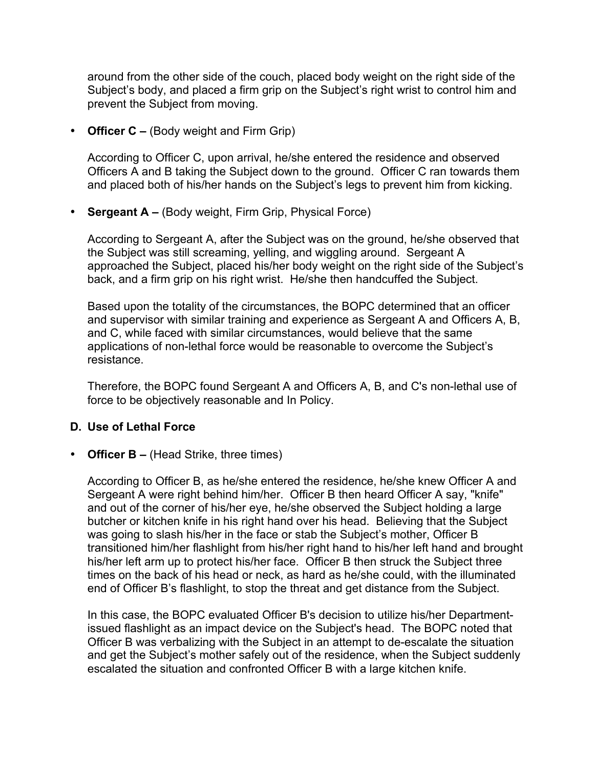around from the other side of the couch, placed body weight on the right side of the Subject's body, and placed a firm grip on the Subject's right wrist to control him and prevent the Subject from moving.

• **Officer C –** (Body weight and Firm Grip)

According to Officer C, upon arrival, he/she entered the residence and observed Officers A and B taking the Subject down to the ground. Officer C ran towards them and placed both of his/her hands on the Subject's legs to prevent him from kicking.

• **Sergeant A –** (Body weight, Firm Grip, Physical Force)

According to Sergeant A, after the Subject was on the ground, he/she observed that the Subject was still screaming, yelling, and wiggling around. Sergeant A approached the Subject, placed his/her body weight on the right side of the Subject's back, and a firm grip on his right wrist. He/she then handcuffed the Subject.

Based upon the totality of the circumstances, the BOPC determined that an officer and supervisor with similar training and experience as Sergeant A and Officers A, B, and C, while faced with similar circumstances, would believe that the same applications of non-lethal force would be reasonable to overcome the Subject's resistance.

Therefore, the BOPC found Sergeant A and Officers A, B, and C's non-lethal use of force to be objectively reasonable and In Policy.

### **D. Use of Lethal Force**

• **Officer B –** (Head Strike, three times)

According to Officer B, as he/she entered the residence, he/she knew Officer A and Sergeant A were right behind him/her. Officer B then heard Officer A say, "knife" and out of the corner of his/her eye, he/she observed the Subject holding a large butcher or kitchen knife in his right hand over his head. Believing that the Subject was going to slash his/her in the face or stab the Subiect's mother, Officer B transitioned him/her flashlight from his/her right hand to his/her left hand and brought his/her left arm up to protect his/her face. Officer B then struck the Subject three times on the back of his head or neck, as hard as he/she could, with the illuminated end of Officer B's flashlight, to stop the threat and get distance from the Subject.

In this case, the BOPC evaluated Officer B's decision to utilize his/her Departmentissued flashlight as an impact device on the Subject's head. The BOPC noted that Officer B was verbalizing with the Subject in an attempt to de-escalate the situation and get the Subject's mother safely out of the residence, when the Subject suddenly escalated the situation and confronted Officer B with a large kitchen knife.